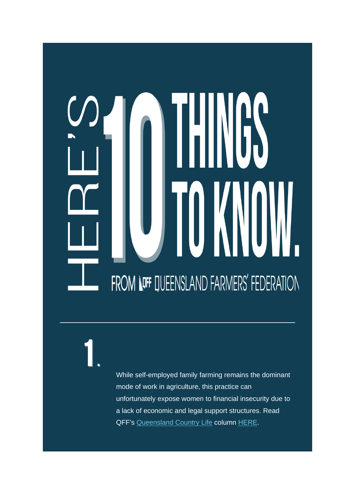# FROM LOFF QUEENSLAND FARMERS' FEDERATION

While self-employed family farming remains the dominant mode of work in agriculture, this practice can unfortunately expose women to financial insecurity due to a lack of economic and legal support structures. Read QFF's [Queensland Country Life](https://qff.us6.list-manage.com/track/click?u=be9cc2409cc55bcb17498482a&id=b112d8398a&e=4deb5db9b7) column [HERE.](https://qff.us6.list-manage.com/track/click?u=be9cc2409cc55bcb17498482a&id=168909151c&e=4deb5db9b7)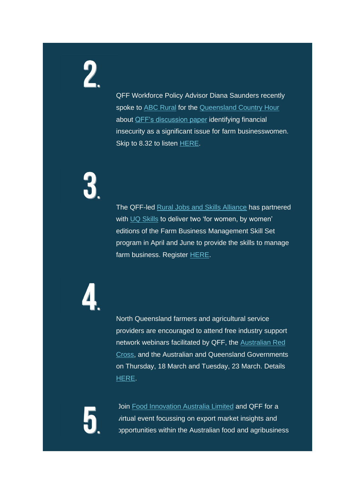QFF Workforce Policy Advisor Diana Saunders recently spoke to [ABC Rural](https://qff.us6.list-manage.com/track/click?u=be9cc2409cc55bcb17498482a&id=de976daae1&e=4deb5db9b7) for the [Queensland Country Hour](https://qff.us6.list-manage.com/track/click?u=be9cc2409cc55bcb17498482a&id=6f9514fb25&e=4deb5db9b7) about [QFF's discussion paper](https://qff.us6.list-manage.com/track/click?u=be9cc2409cc55bcb17498482a&id=675cec03a1&e=4deb5db9b7) identifying financial insecurity as a significant issue for farm businesswomen. Skip to 8.32 to listen [HERE.](https://qff.us6.list-manage.com/track/click?u=be9cc2409cc55bcb17498482a&id=1b54ea6215&e=4deb5db9b7)

The QFF-led [Rural Jobs and Skills Alliance](https://qff.us6.list-manage.com/track/click?u=be9cc2409cc55bcb17498482a&id=af223bafcd&e=4deb5db9b7) has partnered with [UQ Skills](https://qff.us6.list-manage.com/track/click?u=be9cc2409cc55bcb17498482a&id=83a42e7ce2&e=4deb5db9b7) to deliver two 'for women, by women' editions of the Farm Business Management Skill Set program in April and June to provide the skills to manage farm business. Register [HERE.](https://qff.us6.list-manage.com/track/click?u=be9cc2409cc55bcb17498482a&id=8445a1868a&e=4deb5db9b7)

North Queensland farmers and agricultural service providers are encouraged to attend free industry support network webinars facilitated by QFF, the [Australian Red](https://qff.us6.list-manage.com/track/click?u=be9cc2409cc55bcb17498482a&id=8bbadfdd75&e=4deb5db9b7)  [Cross,](https://qff.us6.list-manage.com/track/click?u=be9cc2409cc55bcb17498482a&id=8bbadfdd75&e=4deb5db9b7) and the Australian and Queensland Governments on Thursday, 18 March and Tuesday, 23 March. Details [HERE.](https://qff.us6.list-manage.com/track/click?u=be9cc2409cc55bcb17498482a&id=3af485dcf5&e=4deb5db9b7)

Join [Food Innovation Australia Limited](https://qff.us6.list-manage.com/track/click?u=be9cc2409cc55bcb17498482a&id=68cd444bba&e=4deb5db9b7) and QFF for a virtual event focussing on export market insights and opportunities within the Australian food and agribusiness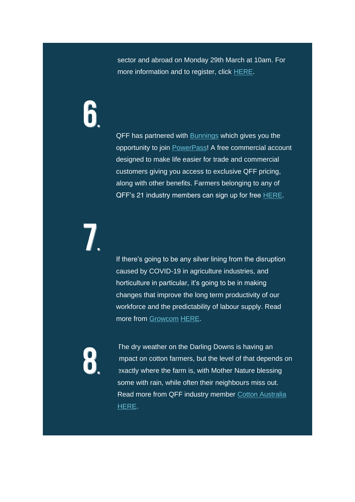sector and abroad on Monday 29th March at 10am. For more information and to register, click [HERE.](https://qff.us6.list-manage.com/track/click?u=be9cc2409cc55bcb17498482a&id=09908826d7&e=4deb5db9b7)

QFF has partnered with **[Bunnings](https://qff.us6.list-manage.com/track/click?u=be9cc2409cc55bcb17498482a&id=667464ebfe&e=4deb5db9b7)** which gives you the opportunity to join [PowerPass!](https://qff.us6.list-manage.com/track/click?u=be9cc2409cc55bcb17498482a&id=d811b8b783&e=4deb5db9b7) A free commercial account designed to make life easier for trade and commercial customers giving you access to exclusive QFF pricing, along with other benefits. Farmers belonging to any of QFF's 21 industry members can sign up for free [HERE.](https://qff.us6.list-manage.com/track/click?u=be9cc2409cc55bcb17498482a&id=3e67e5556d&e=4deb5db9b7)

If there's going to be any silver lining from the disruption caused by COVID-19 in agriculture industries, and horticulture in particular, it's going to be in making changes that improve the long term productivity of our workforce and the predictability of labour supply. Read more from [Growcom](https://qff.us6.list-manage.com/track/click?u=be9cc2409cc55bcb17498482a&id=d2ab53148d&e=4deb5db9b7) [HERE.](https://qff.us6.list-manage.com/track/click?u=be9cc2409cc55bcb17498482a&id=8a22bc48f0&e=4deb5db9b7)

The dry weather on the Darling Downs is having an mpact on cotton farmers, but the level of that depends on exactly where the farm is, with Mother Nature blessing some with rain, while often their neighbours miss out. Read more from QFF industry member [Cotton Australia](https://qff.us6.list-manage.com/track/click?u=be9cc2409cc55bcb17498482a&id=1acb7d1b8d&e=4deb5db9b7) [HERE.](https://qff.us6.list-manage.com/track/click?u=be9cc2409cc55bcb17498482a&id=cf31827771&e=4deb5db9b7)